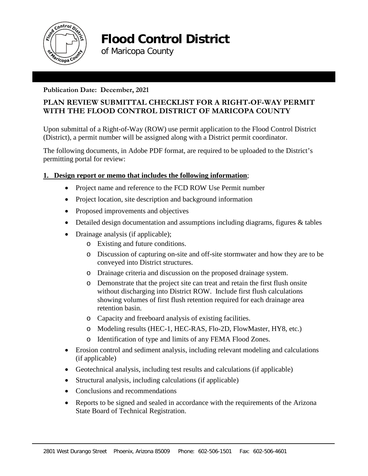

**Flood Control District** 

of Maricopa County

### **Publication Date: December, 2021**

# **PLAN REVIEW SUBMITTAL CHECKLIST FOR A RIGHT-OF-WAY PERMIT WITH THE FLOOD CONTROL DISTRICT OF MARICOPA COUNTY**

Upon submittal of a Right-of-Way (ROW) use permit application to the Flood Control District (District), a permit number will be assigned along with a District permit coordinator.

The following documents, in Adobe PDF format, are required to be uploaded to the District's permitting portal for review:

## **1. Design report or memo that includes the following information**;

- Project name and reference to the FCD ROW Use Permit number
- Project location, site description and background information
- Proposed improvements and objectives
- Detailed design documentation and assumptions including diagrams, figures & tables
- Drainage analysis (if applicable);
	- o Existing and future conditions.
	- o Discussion of capturing on-site and off-site stormwater and how they are to be conveyed into District structures.
	- o Drainage criteria and discussion on the proposed drainage system.
	- o Demonstrate that the project site can treat and retain the first flush onsite without discharging into District ROW. Include first flush calculations showing volumes of first flush retention required for each drainage area retention basin.
	- o Capacity and freeboard analysis of existing facilities.
	- o Modeling results (HEC-1, HEC-RAS, Flo-2D, FlowMaster, HY8, etc.)
	- o Identification of type and limits of any FEMA Flood Zones.
- Erosion control and sediment analysis, including relevant modeling and calculations (if applicable)
- Geotechnical analysis, including test results and calculations (if applicable)
- Structural analysis, including calculations (if applicable)
- Conclusions and recommendations
- Reports to be signed and sealed in accordance with the requirements of the Arizona State Board of Technical Registration.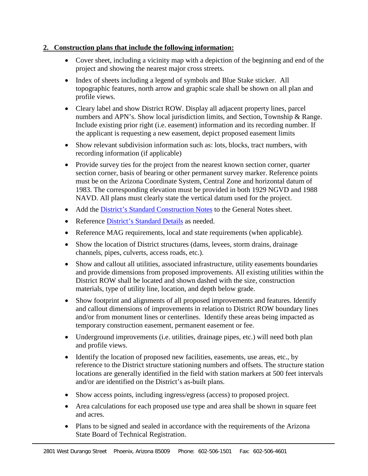#### **2. Construction plans that include the following information:**

- Cover sheet, including a vicinity map with a depiction of the beginning and end of the project and showing the nearest major cross streets.
- Index of sheets including a legend of symbols and Blue Stake sticker. All topographic features, north arrow and graphic scale shall be shown on all plan and profile views.
- Cleary label and show District ROW. Display all adjacent property lines, parcel numbers and APN's. Show local jurisdiction limits, and Section, Township & Range. Include existing prior right (i.e. easement) information and its recording number. If the applicant is requesting a new easement, depict proposed easement limits
- Show relevant subdivision information such as: lots, blocks, tract numbers, with recording information (if applicable)
- Provide survey ties for the project from the nearest known section corner, quarter section corner, basis of bearing or other permanent survey marker. Reference points must be on the Arizona Coordinate System, Central Zone and horizontal datum of 1983. The corresponding elevation must be provided in both 1929 NGVD and 1988 NAVD. All plans must clearly state the vertical datum used for the project.
- Add the [District's Standard Construction Notes](https://www.maricopa.gov/DocumentCenter/View/35946/General-Notes) to the General Notes sheet.
- Reference [District's Standard Details](https://www.maricopa.gov/DocumentCenter/View/46226/Standard-Details-PDF) as needed.
- Reference MAG requirements, local and state requirements (when applicable).
- Show the location of District structures (dams, levees, storm drains, drainage channels, pipes, culverts, access roads, etc.).
- Show and callout all utilities, associated infrastructure, utility easements boundaries and provide dimensions from proposed improvements. All existing utilities within the District ROW shall be located and shown dashed with the size, construction materials, type of utility line, location, and depth below grade.
- Show footprint and alignments of all proposed improvements and features. Identify and callout dimensions of improvements in relation to District ROW boundary lines and/or from monument lines or centerlines. Identify these areas being impacted as temporary construction easement, permanent easement or fee.
- Underground improvements (i.e. utilities, drainage pipes, etc.) will need both plan and profile views.
- Identify the location of proposed new facilities, easements, use areas, etc., by reference to the District structure stationing numbers and offsets. The structure station locations are generally identified in the field with station markers at 500 feet intervals and/or are identified on the District's as-built plans.
- Show access points, including ingress/egress (access) to proposed project.
- Area calculations for each proposed use type and area shall be shown in square feet and acres.
- Plans to be signed and sealed in accordance with the requirements of the Arizona State Board of Technical Registration.